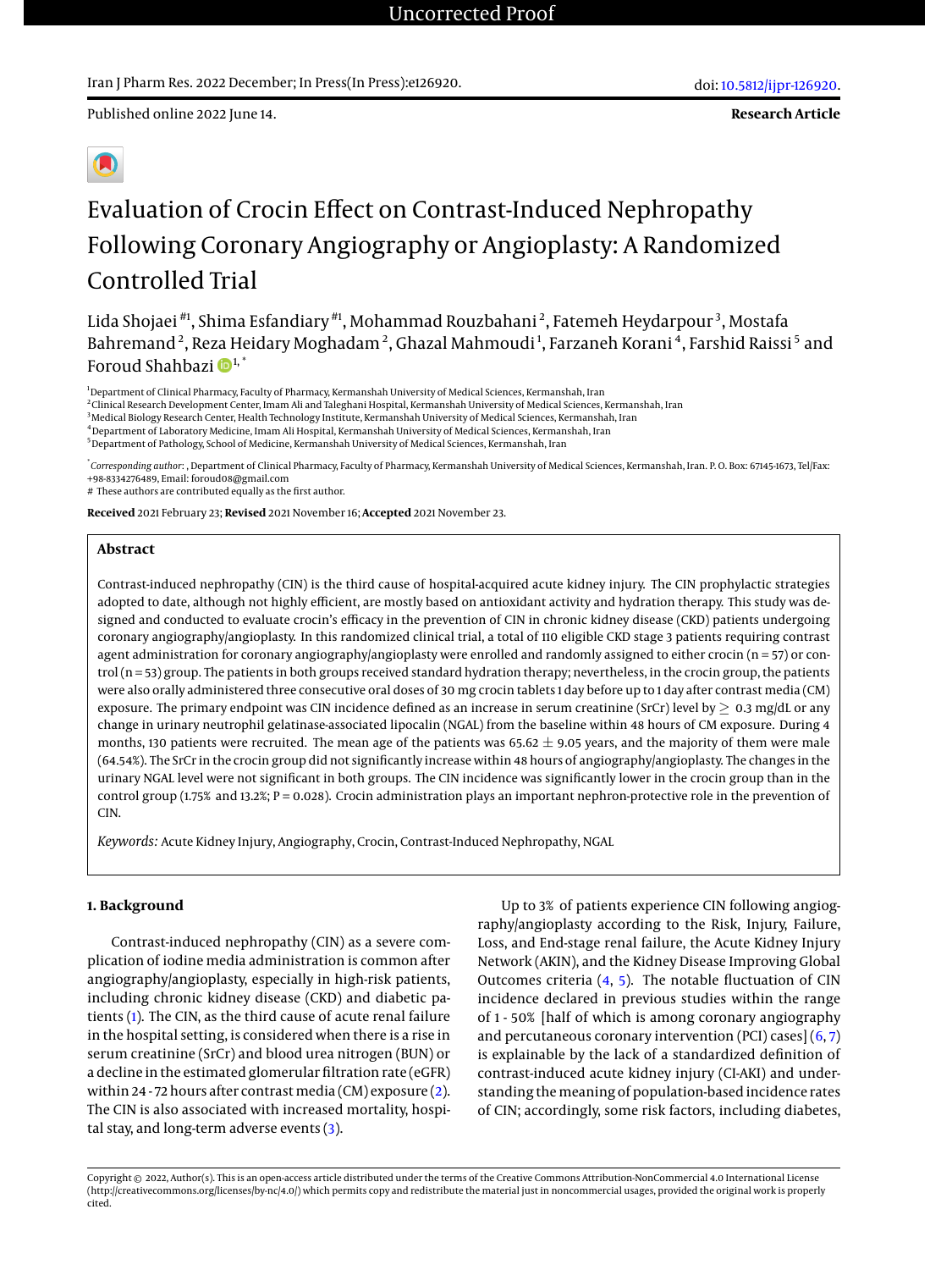Published online 2022 June 14.

**Research Article**

# Evaluation of Crocin Effect on Contrast-Induced Nephropathy Following Coronary Angiography or Angioplasty: A Randomized Controlled Trial

Lida Shojaei #1, Shima Esfandiary #1, Mohammad Rouzbahani <sup>2</sup>, Fatemeh Heydarpour <sup>3</sup>, Mostafa Bahremand<sup>2</sup>, Reza Heidary Moghadam<sup>2</sup>, Ghazal Mahmoudi<sup>1</sup>, Farzaneh Korani<sup>4</sup>, Farshid Raissi<sup>5</sup> and Foroud Shahbazi  $\mathbf{D}^{1,*}$ 

<sup>1</sup>Department of Clinical Pharmacy, Faculty of Pharmacy, Kermanshah University of Medical Sciences, Kermanshah, Iran 2 Clinical Research Development Center, Imam Ali and Taleghani Hospital, Kermanshah University of Medical Sciences, Kermanshah, Iran <sup>3</sup>Medical Biology Research Center, Health Technology Institute, Kermanshah University of Medical Sciences, Kermanshah, Iran <sup>4</sup>Department of Laboratory Medicine, Imam Ali Hospital, Kermanshah University of Medical Sciences, Kermanshah, Iran <sup>5</sup>Department of Pathology, School of Medicine, Kermanshah University of Medical Sciences, Kermanshah, Iran

\* *Corresponding author*: , Department of Clinical Pharmacy, Faculty of Pharmacy, Kermanshah University of Medical Sciences, Kermanshah, Iran. P. O. Box: 67145-1673, Tel/Fax: +98-8334276489, Email: foroud08@gmail.com

# These authors are contributed equally as the first author.

**Received** 2021 February 23; **Revised** 2021 November 16; **Accepted** 2021 November 23.

#### **Abstract**

Contrast-induced nephropathy (CIN) is the third cause of hospital-acquired acute kidney injury. The CIN prophylactic strategies adopted to date, although not highly efficient, are mostly based on antioxidant activity and hydration therapy. This study was designed and conducted to evaluate crocin's efficacy in the prevention of CIN in chronic kidney disease (CKD) patients undergoing coronary angiography/angioplasty. In this randomized clinical trial, a total of 110 eligible CKD stage 3 patients requiring contrast agent administration for coronary angiography/angioplasty were enrolled and randomly assigned to either crocin (n = 57) or control (n = 53) group. The patients in both groups received standard hydration therapy; nevertheless, in the crocin group, the patients were also orally administered three consecutive oral doses of 30 mg crocin tablets 1 day before up to 1 day after contrast media (CM) exposure. The primary endpoint was CIN incidence defined as an increase in serum creatinine (SrCr) level by  $\geq 0.3$  mg/dL or any change in urinary neutrophil gelatinase-associated lipocalin (NGAL) from the baseline within 48 hours of CM exposure. During 4 months, 130 patients were recruited. The mean age of the patients was  $65.62 \pm 9.05$  years, and the majority of them were male (64.54%). The SrCr in the crocin group did not significantly increase within 48 hours of angiography/angioplasty. The changes in the urinary NGAL level were not significant in both groups. The CIN incidence was significantly lower in the crocin group than in the control group (1.75% and 13.2%; P = 0.028). Crocin administration plays an important nephron-protective role in the prevention of CIN.

*Keywords:* Acute Kidney Injury, Angiography, Crocin, Contrast-Induced Nephropathy, NGAL

#### **1. Background**

Contrast-induced nephropathy (CIN) as a severe complication of iodine media administration is common after angiography/angioplasty, especially in high-risk patients, including chronic kidney disease (CKD) and diabetic patients [\(1\)](#page-6-0). The CIN, as the third cause of acute renal failure in the hospital setting, is considered when there is a rise in serum creatinine (SrCr) and blood urea nitrogen (BUN) or a decline in the estimated glomerular filtration rate (eGFR) within 24 - 72 hours after contrast media (CM) exposure [\(2\)](#page-6-1). The CIN is also associated with increased mortality, hospital stay, and long-term adverse events [\(3\)](#page-6-2).

Up to 3% of patients experience CIN following angiography/angioplasty according to the Risk, Injury, Failure, Loss, and End-stage renal failure, the Acute Kidney Injury Network (AKIN), and the Kidney Disease Improving Global Outcomes criteria [\(4,](#page-6-3) [5\)](#page-6-4). The notable fluctuation of CIN incidence declared in previous studies within the range of 1 - 50% [half of which is among coronary angiography and percutaneous coronary intervention (PCI) cases  $(6, 7)$  $(6, 7)$  $(6, 7)$ is explainable by the lack of a standardized definition of contrast-induced acute kidney injury (CI-AKI) and understanding the meaning of population-based incidence rates of CIN; accordingly, some risk factors, including diabetes,

Copyright © 2022, Author(s). This is an open-access article distributed under the terms of the Creative Commons Attribution-NonCommercial 4.0 International License (http://creativecommons.org/licenses/by-nc/4.0/) which permits copy and redistribute the material just in noncommercial usages, provided the original work is properly cited.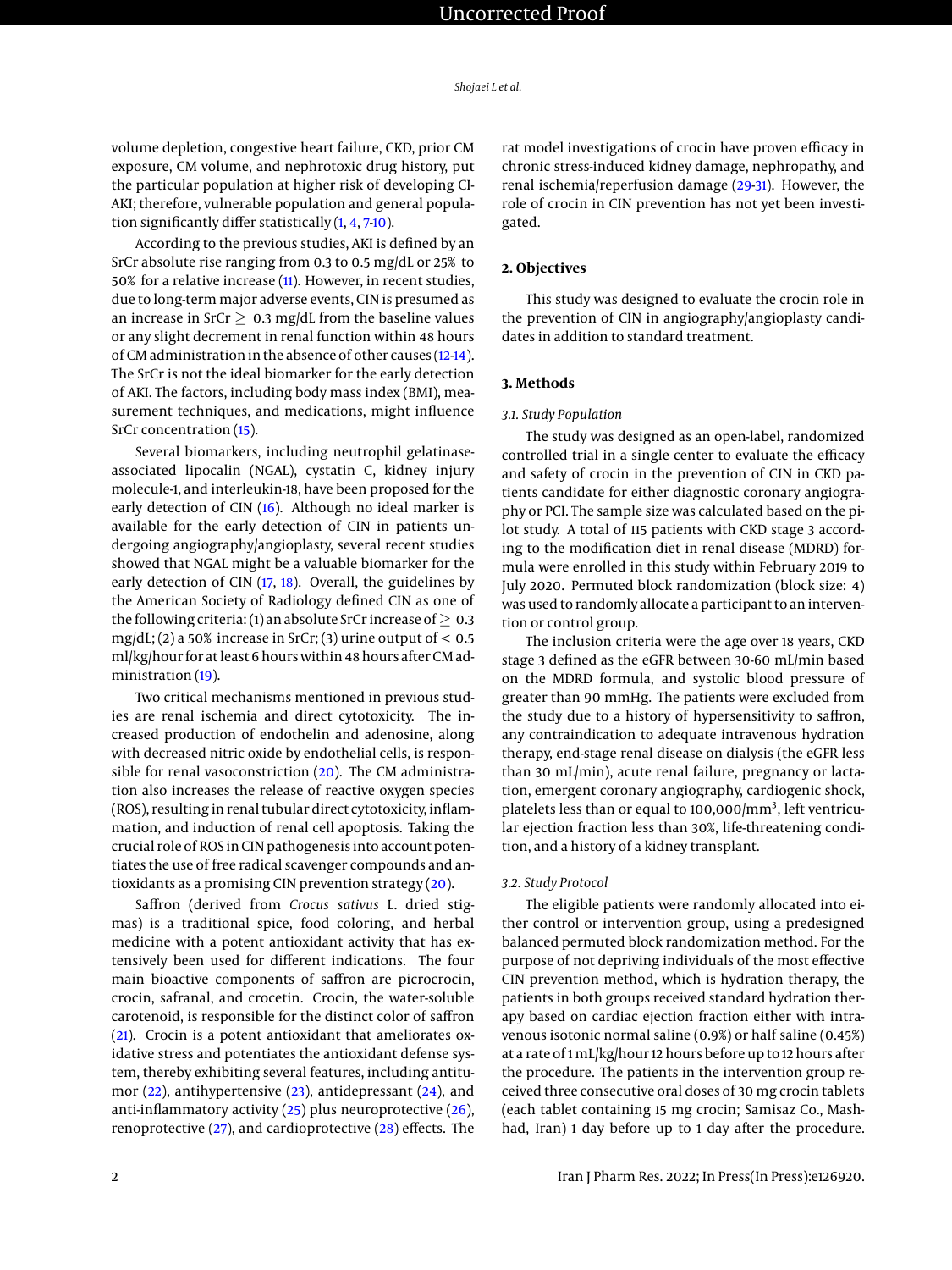volume depletion, congestive heart failure, CKD, prior CM exposure, CM volume, and nephrotoxic drug history, put the particular population at higher risk of developing CI-AKI; therefore, vulnerable population and general population significantly differ statistically  $(1, 4, 710)$  $(1, 4, 710)$  $(1, 4, 710)$  $(1, 4, 710)$  $(1, 4, 710)$  $(1, 4, 710)$ .

According to the previous studies, AKI is defined by an SrCr absolute rise ranging from 0.3 to 0.5 mg/dL or 25% to 50% for a relative increase [\(11\)](#page-6-8). However, in recent studies, due to long-term major adverse events, CIN is presumed as an increase in SrCr  $\geq$  0.3 mg/dL from the baseline values or any slight decrement in renal function within 48 hours of CM administration in the absence of other causes [\(12-](#page-6-9)[14\)](#page-6-10). The SrCr is not the ideal biomarker for the early detection of AKI. The factors, including body mass index (BMI), measurement techniques, and medications, might influence SrCr concentration [\(15\)](#page-6-11).

Several biomarkers, including neutrophil gelatinaseassociated lipocalin (NGAL), cystatin C, kidney injury molecule-1, and interleukin-18, have been proposed for the early detection of CIN [\(16\)](#page-6-12). Although no ideal marker is available for the early detection of CIN in patients undergoing angiography/angioplasty, several recent studies showed that NGAL might be a valuable biomarker for the early detection of CIN [\(17,](#page-6-13) [18\)](#page-7-0). Overall, the guidelines by the American Society of Radiology defined CIN as one of the following criteria: (1) an absolute SrCr increase of  $\geq 0.3$ mg/dL; (2) a 50% increase in SrCr; (3) urine output of  $< 0.5$ ml/kg/hour for at least 6 hours within 48 hours after CM administration [\(19\)](#page-7-1).

Two critical mechanisms mentioned in previous studies are renal ischemia and direct cytotoxicity. The increased production of endothelin and adenosine, along with decreased nitric oxide by endothelial cells, is respon-sible for renal vasoconstriction [\(20\)](#page-7-2). The CM administration also increases the release of reactive oxygen species (ROS), resulting in renal tubular direct cytotoxicity, inflammation, and induction of renal cell apoptosis. Taking the crucial role of ROS in CIN pathogenesis into account potentiates the use of free radical scavenger compounds and antioxidants as a promising CIN prevention strategy [\(20\)](#page-7-2).

Saffron (derived from *Crocus sativus* L. dried stigmas) is a traditional spice, food coloring, and herbal medicine with a potent antioxidant activity that has extensively been used for different indications. The four main bioactive components of saffron are picrocrocin, crocin, safranal, and crocetin. Crocin, the water-soluble carotenoid, is responsible for the distinct color of saffron [\(21\)](#page-7-3). Crocin is a potent antioxidant that ameliorates oxidative stress and potentiates the antioxidant defense system, thereby exhibiting several features, including antitumor  $(22)$ , antihypertensive  $(23)$ , antidepressant  $(24)$ , and anti-inflammatory activity [\(25\)](#page-7-7) plus neuroprotective [\(26\)](#page-7-8), renoprotective  $(27)$ , and cardioprotective  $(28)$  effects. The

rat model investigations of crocin have proven efficacy in chronic stress-induced kidney damage, nephropathy, and renal ischemia/reperfusion damage [\(29-](#page-7-11)[31\)](#page-7-12). However, the role of crocin in CIN prevention has not yet been investigated.

#### **2. Objectives**

This study was designed to evaluate the crocin role in the prevention of CIN in angiography/angioplasty candidates in addition to standard treatment.

#### **3. Methods**

#### *3.1. Study Population*

The study was designed as an open-label, randomized controlled trial in a single center to evaluate the efficacy and safety of crocin in the prevention of CIN in CKD patients candidate for either diagnostic coronary angiography or PCI. The sample size was calculated based on the pilot study. A total of 115 patients with CKD stage 3 according to the modification diet in renal disease (MDRD) formula were enrolled in this study within February 2019 to July 2020. Permuted block randomization (block size: 4) was used to randomly allocate a participant to an intervention or control group.

The inclusion criteria were the age over 18 years, CKD stage 3 defined as the eGFR between 30-60 mL/min based on the MDRD formula, and systolic blood pressure of greater than 90 mmHg. The patients were excluded from the study due to a history of hypersensitivity to saffron, any contraindication to adequate intravenous hydration therapy, end-stage renal disease on dialysis (the eGFR less than 30 mL/min), acute renal failure, pregnancy or lactation, emergent coronary angiography, cardiogenic shock, platelets less than or equal to  $100,000$ /mm<sup>3</sup>, left ventricular ejection fraction less than 30%, life-threatening condition, and a history of a kidney transplant.

#### *3.2. Study Protocol*

The eligible patients were randomly allocated into either control or intervention group, using a predesigned balanced permuted block randomization method. For the purpose of not depriving individuals of the most effective CIN prevention method, which is hydration therapy, the patients in both groups received standard hydration therapy based on cardiac ejection fraction either with intravenous isotonic normal saline (0.9%) or half saline (0.45%) at a rate of 1 mL/kg/hour 12 hours before up to 12 hours after the procedure. The patients in the intervention group received three consecutive oral doses of 30 mg crocin tablets (each tablet containing 15 mg crocin; Samisaz Co., Mashhad, Iran) 1 day before up to 1 day after the procedure.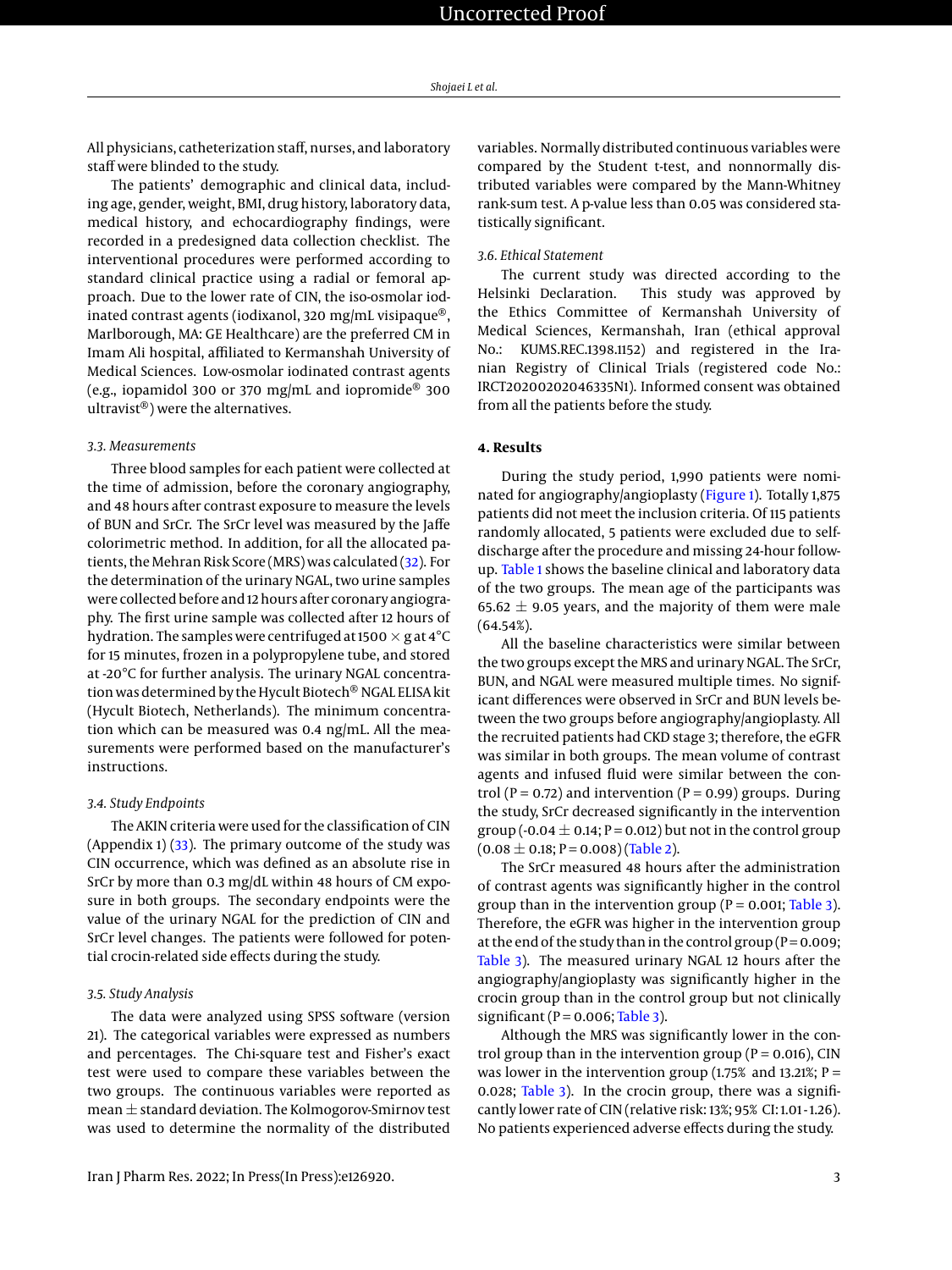All physicians, catheterization staff, nurses, and laboratory staff were blinded to the study.

The patients' demographic and clinical data, including age, gender, weight, BMI, drug history, laboratory data, medical history, and echocardiography findings, were recorded in a predesigned data collection checklist. The interventional procedures were performed according to standard clinical practice using a radial or femoral approach. Due to the lower rate of CIN, the iso-osmolar iodinated contrast agents (iodixanol, 320 mg/mL visipaque®, Marlborough, MA: GE Healthcare) are the preferred CM in Imam Ali hospital, affiliated to Kermanshah University of Medical Sciences. Low-osmolar iodinated contrast agents (e.g., iopamidol 300 or 370 mg/mL and iopromide<sup>®</sup> 300 ultravist®) were the alternatives.

#### *3.3. Measurements*

Three blood samples for each patient were collected at the time of admission, before the coronary angiography, and 48 hours after contrast exposure to measure the levels of BUN and SrCr. The SrCr level was measured by the Jaffe colorimetric method. In addition, for all the allocated patients, the Mehran Risk Score (MRS) was calculated [\(32\)](#page-7-13). For the determination of the urinary NGAL, two urine samples were collected before and 12 hours after coronary angiography. The first urine sample was collected after 12 hours of hydration. The samples were centrifuged at 1500  $\times$  g at 4 $\rm ^{o}C$ for 15 minutes, frozen in a polypropylene tube, and stored at -20°C for further analysis. The urinary NGAL concentration was determined by the Hycult Biotech® NGAL ELISA kit (Hycult Biotech, Netherlands). The minimum concentration which can be measured was 0.4 ng/mL. All the measurements were performed based on the manufacturer's instructions.

#### *3.4. Study Endpoints*

The AKIN criteria were used for the classification of CIN (Appendix 1)  $(33)$ . The primary outcome of the study was CIN occurrence, which was defined as an absolute rise in SrCr by more than 0.3 mg/dL within 48 hours of CM exposure in both groups. The secondary endpoints were the value of the urinary NGAL for the prediction of CIN and SrCr level changes. The patients were followed for potential crocin-related side effects during the study.

#### *3.5. Study Analysis*

The data were analyzed using SPSS software (version 21). The categorical variables were expressed as numbers and percentages. The Chi-square test and Fisher's exact test were used to compare these variables between the two groups. The continuous variables were reported as mean  $\pm$  standard deviation. The Kolmogorov-Smirnov test was used to determine the normality of the distributed

variables. Normally distributed continuous variables were compared by the Student t-test, and nonnormally distributed variables were compared by the Mann-Whitney rank-sum test. A p-value less than 0.05 was considered statistically significant.

#### *3.6. Ethical Statement*

The current study was directed according to the Helsinki Declaration. This study was approved by the Ethics Committee of Kermanshah University of Medical Sciences, Kermanshah, Iran (ethical approval No.: KUMS.REC.1398.1152) and registered in the Iranian Registry of Clinical Trials (registered code No.: IRCT20200202046335N1). Informed consent was obtained from all the patients before the study.

#### **4. Results**

During the study period, 1,990 patients were nominated for angiography/angioplasty [\(Figure 1\)](#page-3-0). Totally 1,875 patients did not meet the inclusion criteria. Of 115 patients randomly allocated, 5 patients were excluded due to selfdischarge after the procedure and missing 24-hour followup. [Table 1](#page-4-0) shows the baseline clinical and laboratory data of the two groups. The mean age of the participants was 65.62  $\pm$  9.05 years, and the majority of them were male (64.54%).

All the baseline characteristics were similar between the two groups except the MRS and urinary NGAL. The SrCr, BUN, and NGAL were measured multiple times. No significant differences were observed in SrCr and BUN levels between the two groups before angiography/angioplasty. All the recruited patients had CKD stage 3; therefore, the eGFR was similar in both groups. The mean volume of contrast agents and infused fluid were similar between the control (P = 0.72) and intervention (P = 0.99) groups. During the study, SrCr decreased significantly in the intervention group (-0.04  $\pm$  0.14; P = 0.012) but not in the control group  $(0.08 \pm 0.18; P = 0.008)$  [\(Table 2\)](#page-5-0).

The SrCr measured 48 hours after the administration of contrast agents was significantly higher in the control group than in the intervention group ( $P = 0.001$ ; [Table 3\)](#page-5-1). Therefore, the eGFR was higher in the intervention group at the end of the study than in the control group ( $P = 0.009$ ; [Table 3\)](#page-5-1). The measured urinary NGAL 12 hours after the angiography/angioplasty was significantly higher in the crocin group than in the control group but not clinically significant ( $P = 0.006$ ; [Table 3\)](#page-5-1).

Although the MRS was significantly lower in the control group than in the intervention group ( $P = 0.016$ ), CIN was lower in the intervention group (1.75% and 13.21%;  $P =$ 0.028; [Table 3\)](#page-5-1). In the crocin group, there was a significantly lower rate of CIN (relative risk: 13%; 95% CI: 1.01 - 1.26). No patients experienced adverse effects during the study.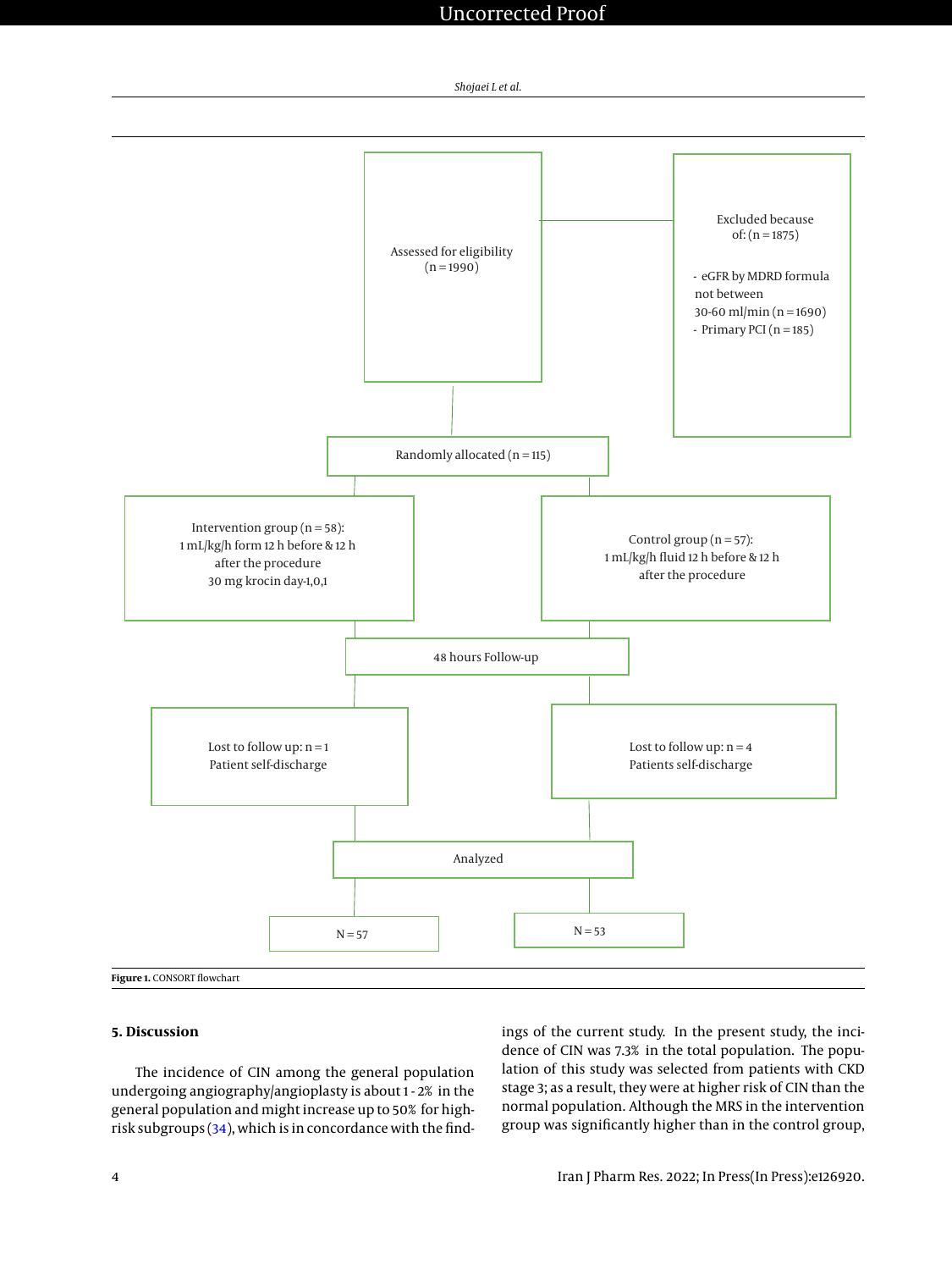<span id="page-3-0"></span>

#### **5. Discussion**

The incidence of CIN among the general population undergoing angiography/angioplasty is about 1 - 2% in the general population and might increase up to 50% for highrisk subgroups [\(34\)](#page-7-15), which is in concordance with the findings of the current study. In the present study, the incidence of CIN was 7.3% in the total population. The population of this study was selected from patients with CKD stage 3; as a result, they were at higher risk of CIN than the normal population. Although the MRS in the intervention group was significantly higher than in the control group,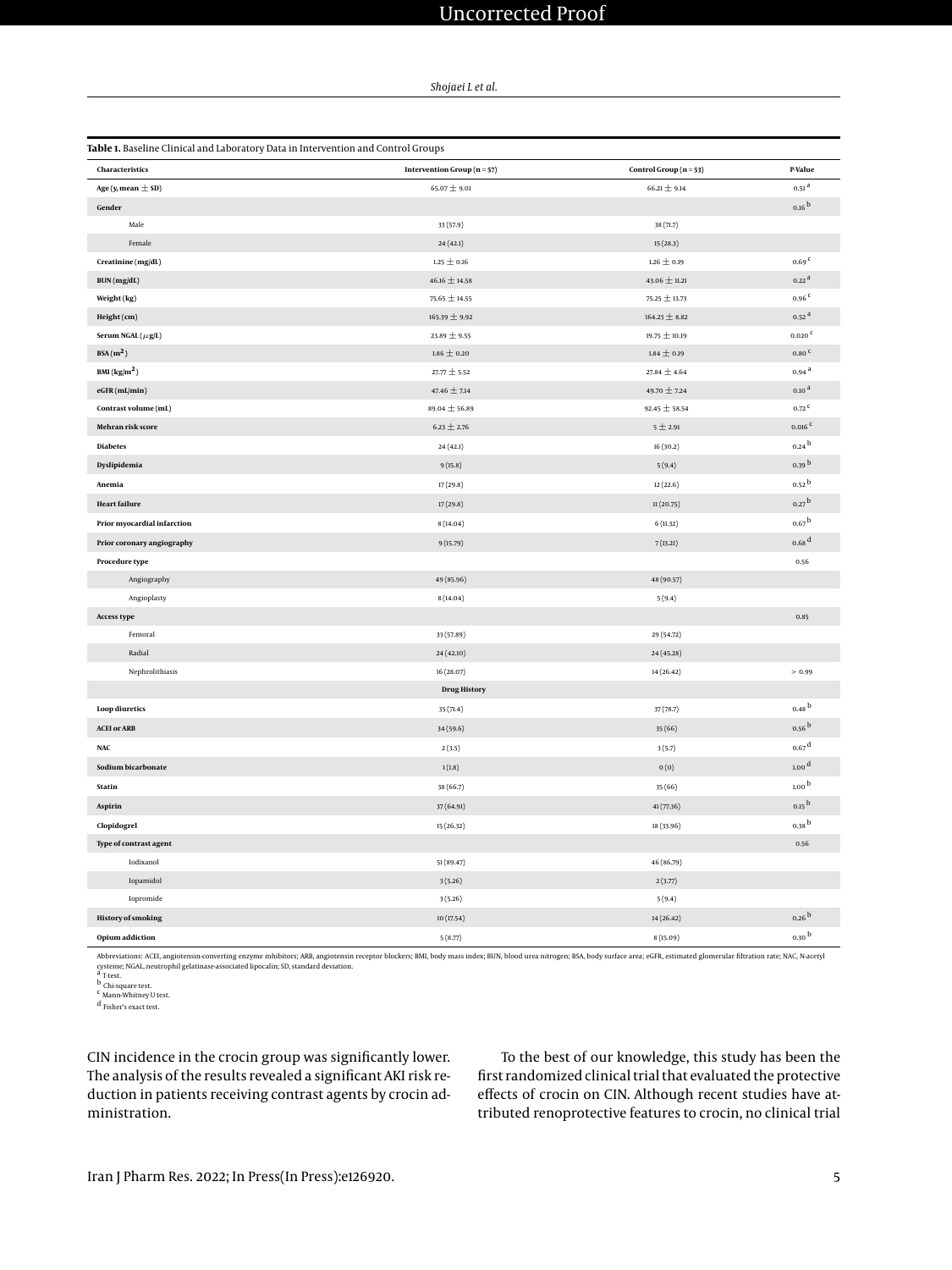## Uncorrected Proof

#### *Shojaei L et al.*

<span id="page-4-0"></span>

| Table 1. Baseline Clinical and Laboratory Data in Intervention and Control Groups |                                        |                        |                     |  |  |
|-----------------------------------------------------------------------------------|----------------------------------------|------------------------|---------------------|--|--|
| Characteristics                                                                   | <b>Intervention Group</b> ( $n = 57$ ) | Control Group (n = 53) | P-Value             |  |  |
| Age (y, mean $\pm$ SD)                                                            | $65.07 \pm 9.01$                       | 66.21 $\pm$ 9.14       | 0.51 <sup>a</sup>   |  |  |
| Gender                                                                            |                                        |                        | 0.16 <sup>b</sup>   |  |  |
| Male                                                                              | 33 (57.9)                              | 38 (71.7)              |                     |  |  |
| Female                                                                            | 24(42.1)                               | 15(28.3)               |                     |  |  |
| Creatinine (mg/dL)                                                                | $1.25\pm0.16$                          | 1.26 $\pm$ 0.19        | 0.69 <sup>C</sup>   |  |  |
| BUN (mg/dL)                                                                       | $46.16 \pm 14.58$                      | $43.06 \pm 11.21$      | 0.22 <sup>a</sup>   |  |  |
| Weight (kg)                                                                       | 75.65 $\pm$ 14.55                      | 75.25 $\pm$ 13.73      | 0.96C               |  |  |
| Height (cm)                                                                       | 165.39 $\pm$ 9.92                      | $164.23 \pm 8.82$      | 0.52 <sup>a</sup>   |  |  |
| Serum NGAL $(\mu$ g/L)                                                            | 23.89 $\pm$ 9.55                       | 19.75 ± 10.19          | $0.020$ $^{\rm C}$  |  |  |
| $BSA(m^2)$                                                                        | 1.86 $\pm$ 0.20                        | $1.84 \pm 0.19$        | 0.80 <sup>C</sup>   |  |  |
| BMI(kg/m <sup>2</sup> )                                                           | $27.77 \pm 5.52$                       | 27.84 $\pm$ 4.64       | $0.94^{\:\rm{d}}$   |  |  |
| eGFR (mL/min)                                                                     | $47.46 \pm 7.14$                       | 49.70 ± 7.24           | 0.10 <sup>a</sup>   |  |  |
| Contrast volume (mL)                                                              | 89.04 ± 56.89                          | $92.45 \pm 58.54$      | $_{\rm 0.72}$ c     |  |  |
| Mehran risk score                                                                 | $6.23 \pm 2.76$                        | $5 \pm 2.91$           | $0.016$ $^{\rm C}$  |  |  |
| <b>Diabetes</b>                                                                   | 24(42.1)                               | 16(30.2)               | 0.24 <sup>b</sup>   |  |  |
| Dyslipidemia                                                                      | 9(15.8)                                | 5(9.4)                 | 0.39 <sup>b</sup>   |  |  |
| Anemia                                                                            | 17(29.8)                               | 12(22.6)               | 0.52 <sup>b</sup>   |  |  |
| <b>Heart failure</b>                                                              | 17(29.8)                               | 11(20.75)              | 0.27 <sup>b</sup>   |  |  |
| Prior myocardial infarction                                                       | 8(14.04)                               | 6(11.32)               | 0.67 <sup>b</sup>   |  |  |
| Prior coronary angiography                                                        | 9(15.79)                               | 7(13.21)               | $0.68\, ^{\rm d}$   |  |  |
| Procedure type                                                                    |                                        |                        | 0.56                |  |  |
| Angiography                                                                       | 49 (85.96)                             | 48 (90.57)             |                     |  |  |
| Angioplasty                                                                       | 8(14.04)                               | 5(9.4)                 |                     |  |  |
| Access type                                                                       |                                        |                        | 0.85                |  |  |
| Femoral                                                                           | 33 (57.89)                             | 29 (54.72)             |                     |  |  |
| Radial                                                                            | 24 (42.10)                             | 24 (45.28)             |                     |  |  |
| Nephrolithiasis                                                                   | 16(28.07)                              | 14 (26.42)             | > 0.99              |  |  |
|                                                                                   | <b>Drug History</b>                    |                        |                     |  |  |
| <b>Loop diuretics</b>                                                             | 35 (71.4)                              | 37 (78.7)              | 0.48 <sup>b</sup>   |  |  |
| <b>ACEI or ARB</b>                                                                | 34 (59.6)                              | 35 (66)                | 0.56 <sup>b</sup>   |  |  |
| $\rm NAC$                                                                         | 2(3.5)                                 | 3(5.7)                 | $0.67$ <sup>d</sup> |  |  |
| Sodium bicarbonate                                                                | 1(1.8)                                 | $0\left(0\right)$      | 1.00 <sup>d</sup>   |  |  |
| Statin                                                                            | 38 (66.7)                              | 35(66)                 | 1.00 <sup>b</sup>   |  |  |
| Aspirin                                                                           | 37 (64.91)                             | 41 (77.36)             | $0.15$ <sup>b</sup> |  |  |
|                                                                                   |                                        |                        | 0.38 <sup>b</sup>   |  |  |
| Clopidogrel<br>Type of contrast agent                                             | 15 (26.32)                             | 18 (33.96)             | 0.56                |  |  |
| Iodixanol                                                                         | 51 (89.47)                             | 46 (86.79)             |                     |  |  |
| Iopamidol                                                                         |                                        | 2(3.77)                |                     |  |  |
| Iopromide                                                                         | 3(5.26)                                |                        |                     |  |  |
|                                                                                   | 3(5.26)                                | 5(9.4)                 | 0.26 <sup>b</sup>   |  |  |
| <b>History of smoking</b>                                                         | 10 (17.54)                             | 14 (26.42)             | 0.30 <sup>b</sup>   |  |  |
| Opium addiction                                                                   | 5(8.77)                                | 8(15.09)               |                     |  |  |

Abbreviations: ACEI, angiotensin-converting enzyme inhibitors; ARB, angiotensin receptor blockers; BMI, body mass index; BUN, blood urea nitrogen; BSA, body surface area; eGFR, estimated glomerular filtration rate; NAC, Na

d Fisher's exact test.

CIN incidence in the crocin group was significantly lower. The analysis of the results revealed a significant AKI risk reduction in patients receiving contrast agents by crocin administration.

To the best of our knowledge, this study has been the first randomized clinical trial that evaluated the protective effects of crocin on CIN. Although recent studies have attributed renoprotective features to crocin, no clinical trial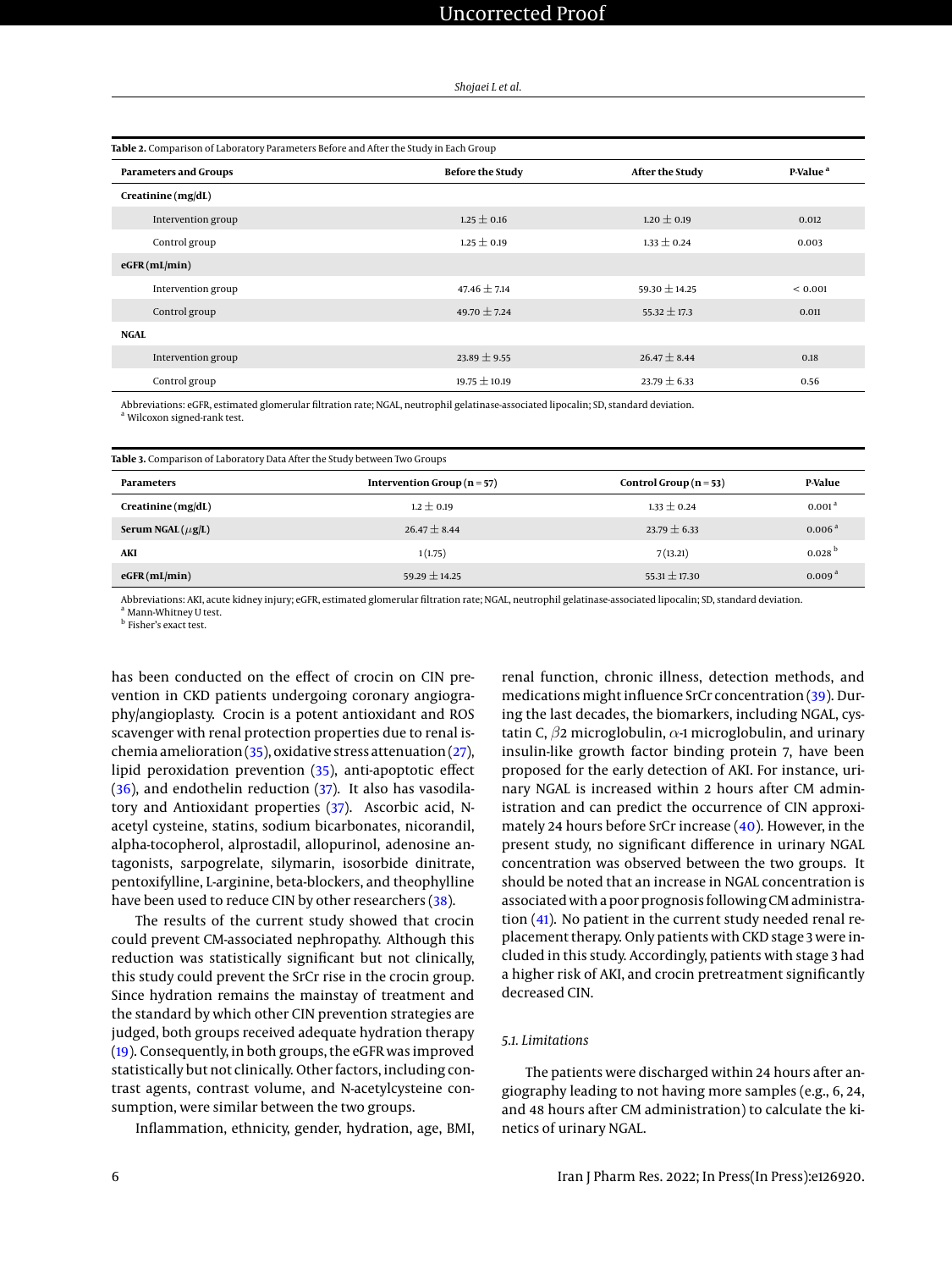*Shojaei L et al.*

<span id="page-5-0"></span>

| Table 2. Comparison of Laboratory Parameters Before and After the Study in Each Group |                         |                        |                      |  |
|---------------------------------------------------------------------------------------|-------------------------|------------------------|----------------------|--|
| <b>Parameters and Groups</b>                                                          | <b>Before the Study</b> | <b>After the Study</b> | P-Value <sup>a</sup> |  |
| Creating(mg/dL)                                                                       |                         |                        |                      |  |
| Intervention group                                                                    | $1.25 \pm 0.16$         | $1.20 + 0.19$          | 0.012                |  |
| Control group                                                                         | $1.25 \pm 0.19$         | $1.33 \pm 0.24$        | 0.003                |  |
| $e$ GFR $(mL/min)$                                                                    |                         |                        |                      |  |
| Intervention group                                                                    | $47.46 \pm 7.14$        | 59.30 $\pm$ 14.25      | ${}< 0.001$          |  |
| Control group                                                                         | $49.70 \pm 7.24$        | 55.32 $\pm$ 17.3       | 0.011                |  |
| NGAL                                                                                  |                         |                        |                      |  |
| Intervention group                                                                    | $23.89 \pm 9.55$        | $26.47 \pm 8.44$       | 0.18                 |  |
| Control group                                                                         | $19.75 \pm 10.19$       | $23.79 \pm 6.33$       | 0.56                 |  |

Abbreviations: eGFR, estimated glomerular filtration rate; NGAL, neutrophil gelatinase-associated lipocalin; SD, standard deviation. <sup>a</sup> Wilcoxon signed-rank test.

<span id="page-5-1"></span>

| Table 3. Comparison of Laboratory Data After the Study between Two Groups |                                 |                            |                    |  |
|---------------------------------------------------------------------------|---------------------------------|----------------------------|--------------------|--|
| <b>Parameters</b>                                                         | Intervention Group ( $n = 57$ ) | Control Group ( $n = 53$ ) | P-Value            |  |
| Creatinine (mg/dL)                                                        | $1.2 \pm 0.19$                  | $1.33 \pm 0.24$            | 0.001 <sup>a</sup> |  |
| Serum NGAL ( $\mu$ g/L)                                                   | $26.47 \pm 8.44$                | $23.79 \pm 6.33$           | 0.006 <sup>a</sup> |  |
| AKI                                                                       | 1(1.75)                         | 7(13.21)                   | 0.028 <sup>b</sup> |  |
| $eGFR$ (mL/min)                                                           | $59.29 \pm 14.25$               | $55.31 \pm 17.30$          | 0.009 <sup>a</sup> |  |

Abbreviations: AKI, acute kidney injury; eGFR, estimated glomerular filtration rate; NGAL, neutrophil gelatinase-associated lipocalin; SD, standard deviation.

<sup>a</sup> Mann-Whitney U test.

<sup>b</sup> Fisher's exact test.

has been conducted on the effect of crocin on CIN prevention in CKD patients undergoing coronary angiography/angioplasty. Crocin is a potent antioxidant and ROS scavenger with renal protection properties due to renal ischemia amelioration  $(35)$ , oxidative stress attenuation  $(27)$ , lipid peroxidation prevention [\(35\)](#page-7-16), anti-apoptotic effect [\(36\)](#page-7-17), and endothelin reduction [\(37\)](#page-7-18). It also has vasodilatory and Antioxidant properties [\(37\)](#page-7-18). Ascorbic acid, Nacetyl cysteine, statins, sodium bicarbonates, nicorandil, alpha-tocopherol, alprostadil, allopurinol, adenosine antagonists, sarpogrelate, silymarin, isosorbide dinitrate, pentoxifylline, L-arginine, beta-blockers, and theophylline have been used to reduce CIN by other researchers [\(38\)](#page-7-19).

The results of the current study showed that crocin could prevent CM-associated nephropathy. Although this reduction was statistically significant but not clinically, this study could prevent the SrCr rise in the crocin group. Since hydration remains the mainstay of treatment and the standard by which other CIN prevention strategies are judged, both groups received adequate hydration therapy [\(19\)](#page-7-1). Consequently, in both groups, the eGFR was improved statistically but not clinically. Other factors, including contrast agents, contrast volume, and N-acetylcysteine consumption, were similar between the two groups.

Inflammation, ethnicity, gender, hydration, age, BMI,

medications might influence SrCr concentration [\(39\)](#page-7-20). During the last decades, the biomarkers, including NGAL, cystatin C,  $\beta$ 2 microglobulin,  $\alpha$ -1 microglobulin, and urinary insulin-like growth factor binding protein 7, have been proposed for the early detection of AKI. For instance, urinary NGAL is increased within 2 hours after CM administration and can predict the occurrence of CIN approximately 24 hours before SrCr increase [\(40\)](#page-7-21). However, in the present study, no significant difference in urinary NGAL concentration was observed between the two groups. It should be noted that an increase in NGAL concentration is associated with a poor prognosis following CM administration [\(41\)](#page-7-22). No patient in the current study needed renal replacement therapy. Only patients with CKD stage 3 were included in this study. Accordingly, patients with stage 3 had a higher risk of AKI, and crocin pretreatment significantly decreased CIN.

renal function, chronic illness, detection methods, and

### *5.1. Limitations*

The patients were discharged within 24 hours after angiography leading to not having more samples (e.g., 6, 24, and 48 hours after CM administration) to calculate the kinetics of urinary NGAL.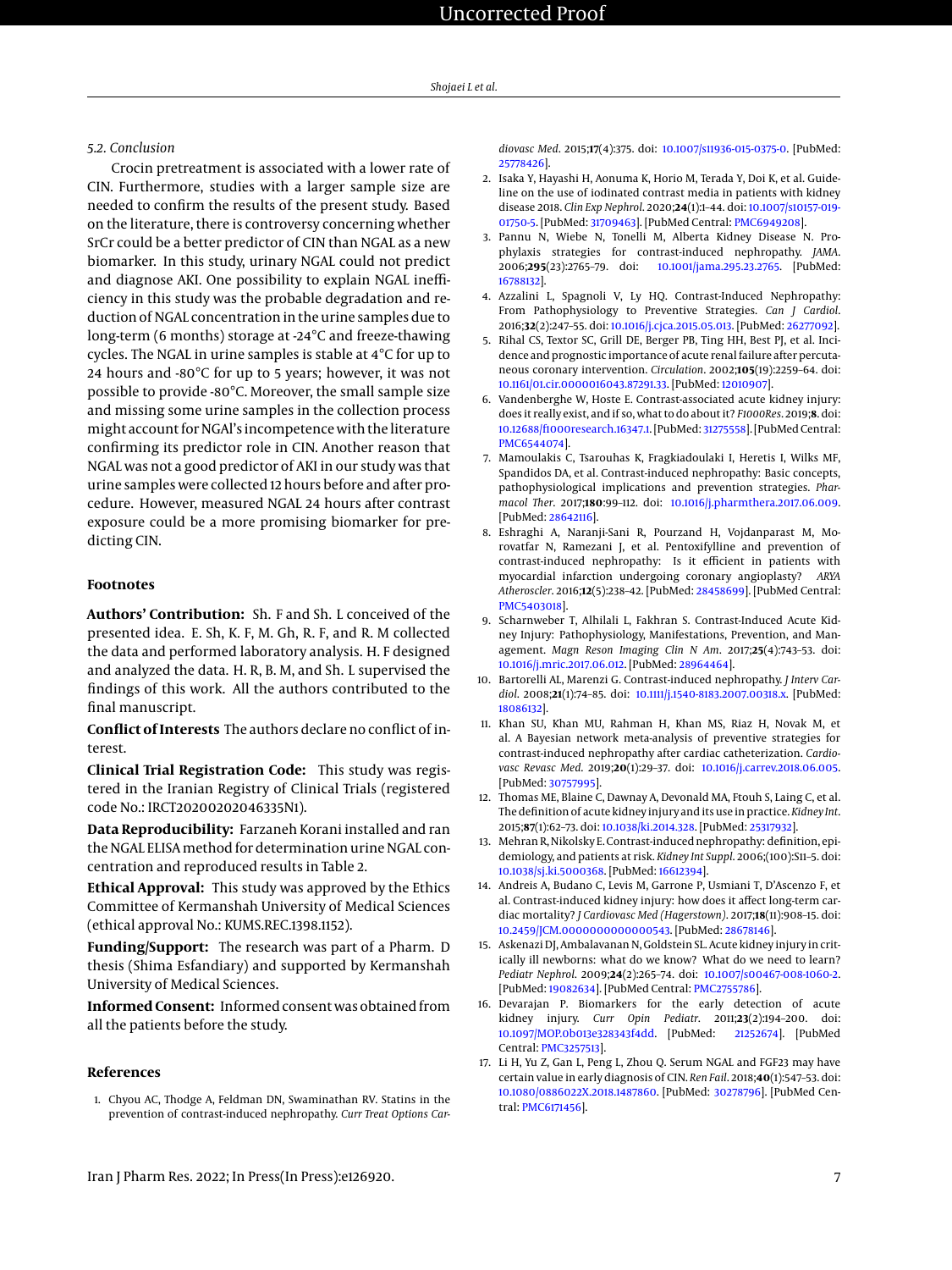#### *5.2. Conclusion*

Crocin pretreatment is associated with a lower rate of CIN. Furthermore, studies with a larger sample size are needed to confirm the results of the present study. Based on the literature, there is controversy concerning whether SrCr could be a better predictor of CIN than NGAL as a new biomarker. In this study, urinary NGAL could not predict and diagnose AKI. One possibility to explain NGAL inefficiency in this study was the probable degradation and reduction of NGAL concentration in the urine samples due to long-term (6 months) storage at -24°C and freeze-thawing cycles. The NGAL in urine samples is stable at 4°C for up to 24 hours and -80°C for up to 5 years; however, it was not possible to provide -80°C. Moreover, the small sample size and missing some urine samples in the collection process might account for NGAl's incompetence with the literature confirming its predictor role in CIN. Another reason that NGAL was not a good predictor of AKI in our study was that urine samples were collected 12 hours before and after procedure. However, measured NGAL 24 hours after contrast exposure could be a more promising biomarker for predicting CIN.

#### **Footnotes**

**Authors' Contribution:** Sh. F and Sh. L conceived of the presented idea. E. Sh, K. F, M. Gh, R. F, and R. M collected the data and performed laboratory analysis. H. F designed and analyzed the data. H. R, B. M, and Sh. L supervised the findings of this work. All the authors contributed to the final manuscript.

**Conflict of Interests** The authors declare no conflict of interest.

**Clinical Trial Registration Code:** This study was registered in the Iranian Registry of Clinical Trials (registered code No.: IRCT20200202046335N1).

**Data Reproducibility:** Farzaneh Korani installed and ran the NGAL ELISA method for determination urine NGAL concentration and reproduced results in Table 2.

**Ethical Approval:** This study was approved by the Ethics Committee of Kermanshah University of Medical Sciences (ethical approval No.: KUMS.REC.1398.1152).

**Funding/Support:** The research was part of a Pharm. D thesis (Shima Esfandiary) and supported by Kermanshah University of Medical Sciences.

**Informed Consent:** Informed consent was obtained from all the patients before the study.

#### **References**

<span id="page-6-0"></span>1. Chyou AC, Thodge A, Feldman DN, Swaminathan RV. Statins in the prevention of contrast-induced nephropathy. *Curr Treat Options Car-* *diovasc Med*. 2015;**17**(4):375. doi: [10.1007/s11936-015-0375-0.](http://dx.doi.org/10.1007/s11936-015-0375-0) [PubMed: [25778426\]](http://www.ncbi.nlm.nih.gov/pubmed/25778426).

- <span id="page-6-1"></span>2. Isaka Y, Hayashi H, Aonuma K, Horio M, Terada Y, Doi K, et al. Guideline on the use of iodinated contrast media in patients with kidney disease 2018. *Clin Exp Nephrol*. 2020;**24**(1):1–44. doi: [10.1007/s10157-019-](http://dx.doi.org/10.1007/s10157-019-01750-5) [01750-5.](http://dx.doi.org/10.1007/s10157-019-01750-5) [PubMed: [31709463\]](http://www.ncbi.nlm.nih.gov/pubmed/31709463). [PubMed Central: [PMC6949208\]](https://www.ncbi.nlm.nih.gov/pmc/articles/PMC6949208).
- <span id="page-6-2"></span>3. Pannu N, Wiebe N, Tonelli M, Alberta Kidney Disease N. Prophylaxis strategies for contrast-induced nephropathy. *JAMA*. 2006;**295**(23):2765–79. doi: [10.1001/jama.295.23.2765.](http://dx.doi.org/10.1001/jama.295.23.2765) [PubMed: [16788132\]](http://www.ncbi.nlm.nih.gov/pubmed/16788132).
- <span id="page-6-3"></span>4. Azzalini L, Spagnoli V, Ly HQ. Contrast-Induced Nephropathy: From Pathophysiology to Preventive Strategies. *Can J Cardiol*. 2016;**32**(2):247–55. doi: [10.1016/j.cjca.2015.05.013.](http://dx.doi.org/10.1016/j.cjca.2015.05.013) [PubMed: [26277092\]](http://www.ncbi.nlm.nih.gov/pubmed/26277092).
- <span id="page-6-4"></span>5. Rihal CS, Textor SC, Grill DE, Berger PB, Ting HH, Best PJ, et al. Incidence and prognostic importance of acute renal failure after percutaneous coronary intervention. *Circulation*. 2002;**105**(19):2259–64. doi: [10.1161/01.cir.0000016043.87291.33.](http://dx.doi.org/10.1161/01.cir.0000016043.87291.33) [PubMed: [12010907\]](http://www.ncbi.nlm.nih.gov/pubmed/12010907).
- <span id="page-6-5"></span>6. Vandenberghe W, Hoste E. Contrast-associated acute kidney injury: does it really exist, and if so, what to do about it? *F1000Res*. 2019;**8**. doi: [10.12688/f1000research.16347.1.](http://dx.doi.org/10.12688/f1000research.16347.1) [PubMed: [31275558\]](http://www.ncbi.nlm.nih.gov/pubmed/31275558). [PubMed Central: [PMC6544074\]](https://www.ncbi.nlm.nih.gov/pmc/articles/PMC6544074).
- <span id="page-6-6"></span>7. Mamoulakis C, Tsarouhas K, Fragkiadoulaki I, Heretis I, Wilks MF, Spandidos DA, et al. Contrast-induced nephropathy: Basic concepts, pathophysiological implications and prevention strategies. *Pharmacol Ther*. 2017;**180**:99–112. doi: [10.1016/j.pharmthera.2017.06.009.](http://dx.doi.org/10.1016/j.pharmthera.2017.06.009) [PubMed: [28642116\]](http://www.ncbi.nlm.nih.gov/pubmed/28642116).
- 8. Eshraghi A, Naranji-Sani R, Pourzand H, Vojdanparast M, Morovatfar N, Ramezani J, et al. Pentoxifylline and prevention of contrast-induced nephropathy: Is it efficient in patients with myocardial infarction undergoing coronary angioplasty? *ARYA Atheroscler*. 2016;**12**(5):238–42. [PubMed: [28458699\]](http://www.ncbi.nlm.nih.gov/pubmed/28458699). [PubMed Central: [PMC5403018\]](https://www.ncbi.nlm.nih.gov/pmc/articles/PMC5403018).
- 9. Scharnweber T, Alhilali L, Fakhran S. Contrast-Induced Acute Kidney Injury: Pathophysiology, Manifestations, Prevention, and Management. *Magn Reson Imaging Clin N Am*. 2017;**25**(4):743–53. doi: [10.1016/j.mric.2017.06.012.](http://dx.doi.org/10.1016/j.mric.2017.06.012) [PubMed: [28964464\]](http://www.ncbi.nlm.nih.gov/pubmed/28964464).
- <span id="page-6-7"></span>10. Bartorelli AL, Marenzi G. Contrast-induced nephropathy. *J Interv Cardiol*. 2008;**21**(1):74–85. doi: [10.1111/j.1540-8183.2007.00318.x.](http://dx.doi.org/10.1111/j.1540-8183.2007.00318.x) [PubMed: [18086132\]](http://www.ncbi.nlm.nih.gov/pubmed/18086132).
- <span id="page-6-8"></span>11. Khan SU, Khan MU, Rahman H, Khan MS, Riaz H, Novak M, et al. A Bayesian network meta-analysis of preventive strategies for contrast-induced nephropathy after cardiac catheterization. *Cardiovasc Revasc Med*. 2019;**20**(1):29–37. doi: [10.1016/j.carrev.2018.06.005.](http://dx.doi.org/10.1016/j.carrev.2018.06.005) [PubMed: [30757995\]](http://www.ncbi.nlm.nih.gov/pubmed/30757995).
- <span id="page-6-9"></span>12. Thomas ME, Blaine C, Dawnay A, Devonald MA, Ftouh S, Laing C, et al. The definition of acute kidney injury and its use in practice. *Kidney Int*. 2015;**87**(1):62–73. doi: [10.1038/ki.2014.328.](http://dx.doi.org/10.1038/ki.2014.328) [PubMed: [25317932\]](http://www.ncbi.nlm.nih.gov/pubmed/25317932).
- 13. Mehran R, Nikolsky E. Contrast-induced nephropathy: definition, epidemiology, and patients at risk. *Kidney Int Suppl*. 2006;(100):S11–5. doi: [10.1038/sj.ki.5000368.](http://dx.doi.org/10.1038/sj.ki.5000368) [PubMed: [16612394\]](http://www.ncbi.nlm.nih.gov/pubmed/16612394).
- <span id="page-6-10"></span>14. Andreis A, Budano C, Levis M, Garrone P, Usmiani T, D'Ascenzo F, et al. Contrast-induced kidney injury: how does it affect long-term cardiac mortality? *J Cardiovasc Med (Hagerstown)*. 2017;**18**(11):908–15. doi: [10.2459/JCM.0000000000000543.](http://dx.doi.org/10.2459/JCM.0000000000000543) [PubMed: [28678146\]](http://www.ncbi.nlm.nih.gov/pubmed/28678146).
- <span id="page-6-11"></span>15. Askenazi DJ, Ambalavanan N, Goldstein SL. Acute kidney injury in critically ill newborns: what do we know? What do we need to learn? *Pediatr Nephrol*. 2009;**24**(2):265–74. doi: [10.1007/s00467-008-1060-2.](http://dx.doi.org/10.1007/s00467-008-1060-2) [PubMed: [19082634\]](http://www.ncbi.nlm.nih.gov/pubmed/19082634). [PubMed Central: [PMC2755786\]](https://www.ncbi.nlm.nih.gov/pmc/articles/PMC2755786).
- <span id="page-6-12"></span>16. Devarajan P. Biomarkers for the early detection of acute kidney injury. *Curr Opin Pediatr*. 2011;**23**(2):194–200. doi: [10.1097/MOP.0b013e328343f4dd.](http://dx.doi.org/10.1097/MOP.0b013e328343f4dd) [PubMed: [21252674\]](http://www.ncbi.nlm.nih.gov/pubmed/21252674). [PubMed Central: [PMC3257513\]](https://www.ncbi.nlm.nih.gov/pmc/articles/PMC3257513).
- <span id="page-6-13"></span>17. Li H, Yu Z, Gan L, Peng L, Zhou Q. Serum NGAL and FGF23 may have certain value in early diagnosis of CIN. *Ren Fail*. 2018;**40**(1):547–53. doi: [10.1080/0886022X.2018.1487860.](http://dx.doi.org/10.1080/0886022X.2018.1487860) [PubMed: [30278796\]](http://www.ncbi.nlm.nih.gov/pubmed/30278796). [PubMed Central: [PMC6171456\]](https://www.ncbi.nlm.nih.gov/pmc/articles/PMC6171456).